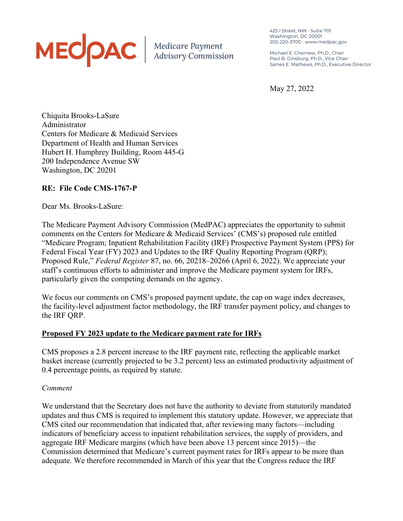# MECOAC | Medicare Payment

425 I Street, NW • Suite 701 Washington, DC 20001 202-220-3700 • www.medpac.gov

Michael E. Chernew, Ph.D., Chair Paul B. Ginsburg, Ph.D., Vice Chair James E. Mathews, Ph.D., Executive Director

May 27, 2022

Chiquita Brooks-LaSure Administrator Centers for Medicare & Medicaid Services Department of Health and Human Services Hubert H. Humphrey Building, Room 445-G 200 Independence Avenue SW Washington, DC 20201

# **RE: File Code CMS-1767-P**

Dear Ms. Brooks-LaSure:

The Medicare Payment Advisory Commission (MedPAC) appreciates the opportunity to submit comments on the Centers for Medicare & Medicaid Services' (CMS's) proposed rule entitled "Medicare Program; Inpatient Rehabilitation Facility (IRF) Prospective Payment System (PPS) for Federal Fiscal Year (FY) 2023 and Updates to the IRF Quality Reporting Program (QRP); Proposed Rule," *Federal Register* 87, no. 66, 20218–20266 (April 6, 2022). We appreciate your staff's continuous efforts to administer and improve the Medicare payment system for IRFs, particularly given the competing demands on the agency.

We focus our comments on CMS's proposed payment update, the cap on wage index decreases, the facility-level adjustment factor methodology, the IRF transfer payment policy, and changes to the IRF QRP.

# **Proposed FY 2023 update to the Medicare payment rate for IRFs**

CMS proposes a 2.8 percent increase to the IRF payment rate, reflecting the applicable market basket increase (currently projected to be 3.2 percent) less an estimated productivity adjustment of 0.4 percentage points, as required by statute.

#### *Comment*

We understand that the Secretary does not have the authority to deviate from statutorily mandated updates and thus CMS is required to implement this statutory update. However, we appreciate that CMS cited our recommendation that indicated that, after reviewing many factors—including indicators of beneficiary access to inpatient rehabilitation services, the supply of providers, and aggregate IRF Medicare margins (which have been above 13 percent since 2015)—the Commission determined that Medicare's current payment rates for IRFs appear to be more than adequate. We therefore recommended in March of this year that the Congress reduce the IRF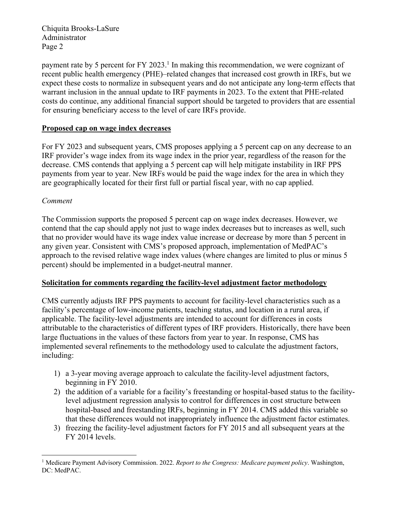payment rate by 5 percent for FY 2023.<sup>1</sup> In making this recommendation, we were cognizant of recent public health emergency (PHE)–related changes that increased cost growth in IRFs, but we expect these costs to normalize in subsequent years and do not anticipate any long-term effects that warrant inclusion in the annual update to IRF payments in 2023. To the extent that PHE-related costs do continue, any additional financial support should be targeted to providers that are essential for ensuring beneficiary access to the level of care IRFs provide.

## **Proposed cap on wage index decreases**

For FY 2023 and subsequent years, CMS proposes applying a 5 percent cap on any decrease to an IRF provider's wage index from its wage index in the prior year, regardless of the reason for the decrease. CMS contends that applying a 5 percent cap will help mitigate instability in IRF PPS payments from year to year. New IRFs would be paid the wage index for the area in which they are geographically located for their first full or partial fiscal year, with no cap applied.

#### *Comment*

The Commission supports the proposed 5 percent cap on wage index decreases. However, we contend that the cap should apply not just to wage index decreases but to increases as well, such that no provider would have its wage index value increase or decrease by more than 5 percent in any given year. Consistent with CMS's proposed approach, implementation of MedPAC's approach to the revised relative wage index values (where changes are limited to plus or minus 5 percent) should be implemented in a budget-neutral manner.

#### **Solicitation for comments regarding the facility-level adjustment factor methodology**

CMS currently adjusts IRF PPS payments to account for facility-level characteristics such as a facility's percentage of low-income patients, teaching status, and location in a rural area, if applicable. The facility-level adjustments are intended to account for differences in costs attributable to the characteristics of different types of IRF providers. Historically, there have been large fluctuations in the values of these factors from year to year. In response, CMS has implemented several refinements to the methodology used to calculate the adjustment factors, including:

- 1) a 3-year moving average approach to calculate the facility-level adjustment factors, beginning in FY 2010.
- 2) the addition of a variable for a facility's freestanding or hospital-based status to the facilitylevel adjustment regression analysis to control for differences in cost structure between hospital-based and freestanding IRFs, beginning in FY 2014. CMS added this variable so that these differences would not inappropriately influence the adjustment factor estimates.
- 3) freezing the facility-level adjustment factors for FY 2015 and all subsequent years at the FY 2014 levels.

<sup>1</sup> Medicare Payment Advisory Commission. 2022. *Report to the Congress: Medicare payment policy*. Washington, DC: MedPAC.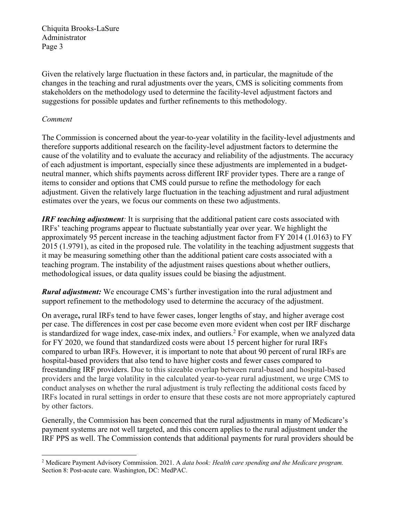Given the relatively large fluctuation in these factors and, in particular, the magnitude of the changes in the teaching and rural adjustments over the years, CMS is soliciting comments from stakeholders on the methodology used to determine the facility-level adjustment factors and suggestions for possible updates and further refinements to this methodology.

#### *Comment*

The Commission is concerned about the year-to-year volatility in the facility-level adjustments and therefore supports additional research on the facility-level adjustment factors to determine the cause of the volatility and to evaluate the accuracy and reliability of the adjustments. The accuracy of each adjustment is important, especially since these adjustments are implemented in a budgetneutral manner, which shifts payments across different IRF provider types. There are a range of items to consider and options that CMS could pursue to refine the methodology for each adjustment. Given the relatively large fluctuation in the teaching adjustment and rural adjustment estimates over the years, we focus our comments on these two adjustments.

*IRF teaching adjustment*: It is surprising that the additional patient care costs associated with IRFs' teaching programs appear to fluctuate substantially year over year. We highlight the approximately 95 percent increase in the teaching adjustment factor from FY 2014 (1.0163) to FY 2015 (1.9791), as cited in the proposed rule. The volatility in the teaching adjustment suggests that it may be measuring something other than the additional patient care costs associated with a teaching program. The instability of the adjustment raises questions about whether outliers, methodological issues, or data quality issues could be biasing the adjustment.

*Rural adjustment:* We encourage CMS's further investigation into the rural adjustment and support refinement to the methodology used to determine the accuracy of the adjustment.

On average**,** rural IRFs tend to have fewer cases, longer lengths of stay, and higher average cost per case. The differences in cost per case become even more evident when cost per IRF discharge is standardized for wage index, case-mix index, and outliers.<sup>2</sup> For example, when we analyzed data for FY 2020, we found that standardized costs were about 15 percent higher for rural IRFs compared to urban IRFs. However, it is important to note that about 90 percent of rural IRFs are hospital-based providers that also tend to have higher costs and fewer cases compared to freestanding IRF providers. Due to this sizeable overlap between rural-based and hospital-based providers and the large volatility in the calculated year-to-year rural adjustment, we urge CMS to conduct analyses on whether the rural adjustment is truly reflecting the additional costs faced by IRFs located in rural settings in order to ensure that these costs are not more appropriately captured by other factors.

Generally, the Commission has been concerned that the rural adjustments in many of Medicare's payment systems are not well targeted, and this concern applies to the rural adjustment under the IRF PPS as well. The Commission contends that additional payments for rural providers should be

<sup>2</sup> Medicare Payment Advisory Commission. 2021. A *data book: Health care spending and the Medicare program.* Section 8: Post-acute care. Washington, DC: MedPAC.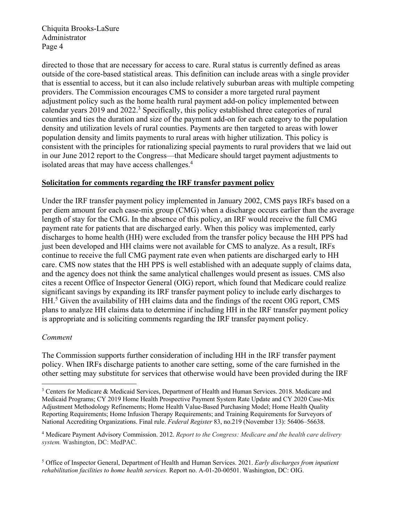directed to those that are necessary for access to care. Rural status is currently defined as areas outside of the core-based statistical areas. This definition can include areas with a single provider that is essential to access, but it can also include relatively suburban areas with multiple competing providers. The Commission encourages CMS to consider a more targeted rural payment adjustment policy such as the home health rural payment add-on policy implemented between calendar years 2019 and 2022.<sup>3</sup> Specifically, this policy established three categories of rural counties and ties the duration and size of the payment add-on for each category to the population density and utilization levels of rural counties. Payments are then targeted to areas with lower population density and limits payments to rural areas with higher utilization. This policy is consistent with the principles for rationalizing special payments to rural providers that we laid out in our June 2012 report to the Congress—that Medicare should target payment adjustments to isolated areas that may have access challenges.<sup>4</sup>

### **Solicitation for comments regarding the IRF transfer payment policy**

Under the IRF transfer payment policy implemented in January 2002, CMS pays IRFs based on a per diem amount for each case-mix group (CMG) when a discharge occurs earlier than the average length of stay for the CMG. In the absence of this policy, an IRF would receive the full CMG payment rate for patients that are discharged early. When this policy was implemented, early discharges to home health (HH) were excluded from the transfer policy because the HH PPS had just been developed and HH claims were not available for CMS to analyze. As a result, IRFs continue to receive the full CMG payment rate even when patients are discharged early to HH care. CMS now states that the HH PPS is well established with an adequate supply of claims data, and the agency does not think the same analytical challenges would present as issues. CMS also cites a recent Office of Inspector General (OIG) report, which found that Medicare could realize significant savings by expanding its IRF transfer payment policy to include early discharges to HH.<sup>5</sup> Given the availability of HH claims data and the findings of the recent OIG report, CMS plans to analyze HH claims data to determine if including HH in the IRF transfer payment policy is appropriate and is soliciting comments regarding the IRF transfer payment policy.

#### *Comment*

The Commission supports further consideration of including HH in the IRF transfer payment policy. When IRFs discharge patients to another care setting, some of the care furnished in the other setting may substitute for services that otherwise would have been provided during the IRF

<sup>3</sup> Centers for Medicare & Medicaid Services, Department of Health and Human Services. 2018. Medicare and Medicaid Programs; CY 2019 Home Health Prospective Payment System Rate Update and CY 2020 Case-Mix Adjustment Methodology Refinements; Home Health Value-Based Purchasing Model; Home Health Quality Reporting Requirements; Home Infusion Therapy Requirements; and Training Requirements for Surveyors of National Accrediting Organizations. Final rule. *Federal Register* 83, no.219 (November 13): 56406–56638.

<sup>4</sup> Medicare Payment Advisory Commission. 2012. *Report to the Congress: Medicare and the health care delivery system.* Washington, DC: MedPAC.

<sup>5</sup> Office of Inspector General, Department of Health and Human Services. 2021. *Early discharges from inpatient rehabilitation facilities to home health services.* Report no. A-01-20-00501. Washington, DC: OIG.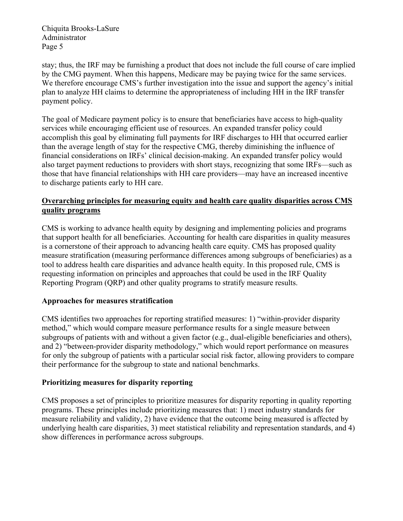stay; thus, the IRF may be furnishing a product that does not include the full course of care implied by the CMG payment. When this happens, Medicare may be paying twice for the same services. We therefore encourage CMS's further investigation into the issue and support the agency's initial plan to analyze HH claims to determine the appropriateness of including HH in the IRF transfer payment policy.

The goal of Medicare payment policy is to ensure that beneficiaries have access to high-quality services while encouraging efficient use of resources. An expanded transfer policy could accomplish this goal by eliminating full payments for IRF discharges to HH that occurred earlier than the average length of stay for the respective CMG, thereby diminishing the influence of financial considerations on IRFs' clinical decision-making. An expanded transfer policy would also target payment reductions to providers with short stays, recognizing that some IRFs—such as those that have financial relationships with HH care providers—may have an increased incentive to discharge patients early to HH care.

# **Overarching principles for measuring equity and health care quality disparities across CMS quality programs**

CMS is working to advance health equity by designing and implementing policies and programs that support health for all beneficiaries. Accounting for health care disparities in quality measures is a cornerstone of their approach to advancing health care equity. CMS has proposed quality measure stratification (measuring performance differences among subgroups of beneficiaries) as a tool to address health care disparities and advance health equity. In this proposed rule, CMS is requesting information on principles and approaches that could be used in the IRF Quality Reporting Program (QRP) and other quality programs to stratify measure results.

# **Approaches for measures stratification**

CMS identifies two approaches for reporting stratified measures: 1) "within-provider disparity method," which would compare measure performance results for a single measure between subgroups of patients with and without a given factor (e.g., dual-eligible beneficiaries and others), and 2) "between-provider disparity methodology," which would report performance on measures for only the subgroup of patients with a particular social risk factor, allowing providers to compare their performance for the subgroup to state and national benchmarks.

# **Prioritizing measures for disparity reporting**

CMS proposes a set of principles to prioritize measures for disparity reporting in quality reporting programs. These principles include prioritizing measures that: 1) meet industry standards for measure reliability and validity, 2) have evidence that the outcome being measured is affected by underlying health care disparities, 3) meet statistical reliability and representation standards, and 4) show differences in performance across subgroups.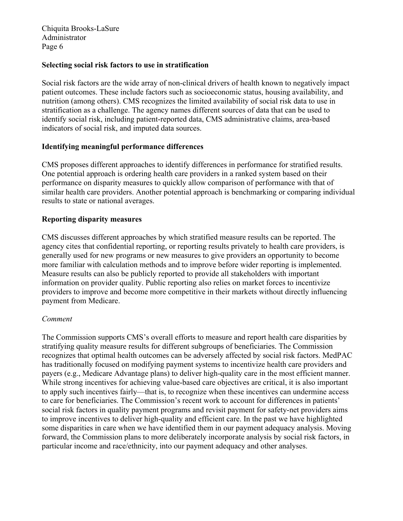### **Selecting social risk factors to use in stratification**

Social risk factors are the wide array of non-clinical drivers of health known to negatively impact patient outcomes. These include factors such as socioeconomic status, housing availability, and nutrition (among others). CMS recognizes the limited availability of social risk data to use in stratification as a challenge. The agency names different sources of data that can be used to identify social risk, including patient-reported data, CMS administrative claims, area-based indicators of social risk, and imputed data sources.

### **Identifying meaningful performance differences**

CMS proposes different approaches to identify differences in performance for stratified results. One potential approach is ordering health care providers in a ranked system based on their performance on disparity measures to quickly allow comparison of performance with that of similar health care providers. Another potential approach is benchmarking or comparing individual results to state or national averages.

### **Reporting disparity measures**

CMS discusses different approaches by which stratified measure results can be reported. The agency cites that confidential reporting, or reporting results privately to health care providers, is generally used for new programs or new measures to give providers an opportunity to become more familiar with calculation methods and to improve before wider reporting is implemented. Measure results can also be publicly reported to provide all stakeholders with important information on provider quality. Public reporting also relies on market forces to incentivize providers to improve and become more competitive in their markets without directly influencing payment from Medicare.

#### *Comment*

The Commission supports CMS's overall efforts to measure and report health care disparities by stratifying quality measure results for different subgroups of beneficiaries. The Commission recognizes that optimal health outcomes can be adversely affected by social risk factors. MedPAC has traditionally focused on modifying payment systems to incentivize health care providers and payers (e.g., Medicare Advantage plans) to deliver high-quality care in the most efficient manner. While strong incentives for achieving value-based care objectives are critical, it is also important to apply such incentives fairly—that is, to recognize when these incentives can undermine access to care for beneficiaries. The Commission's recent work to account for differences in patients' social risk factors in quality payment programs and revisit payment for safety-net providers aims to improve incentives to deliver high-quality and efficient care. In the past we have highlighted some disparities in care when we have identified them in our payment adequacy analysis. Moving forward, the Commission plans to more deliberately incorporate analysis by social risk factors, in particular income and race/ethnicity, into our payment adequacy and other analyses.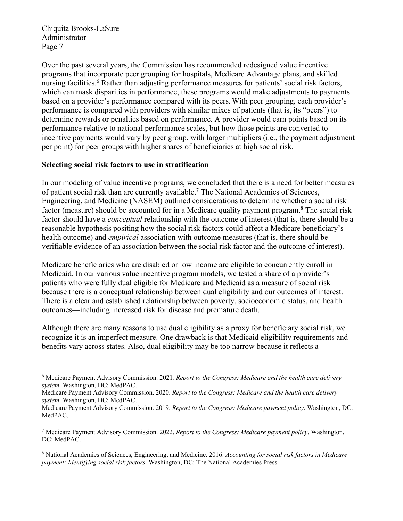Over the past several years, the Commission has recommended redesigned value incentive programs that incorporate peer grouping for hospitals, Medicare Advantage plans, and skilled nursing facilities.<sup>6</sup> Rather than adjusting performance measures for patients' social risk factors, which can mask disparities in performance, these programs would make adjustments to payments based on a provider's performance compared with its peers. With peer grouping, each provider's performance is compared with providers with similar mixes of patients (that is, its "peers") to determine rewards or penalties based on performance. A provider would earn points based on its performance relative to national performance scales, but how those points are converted to incentive payments would vary by peer group, with larger multipliers (i.e., the payment adjustment per point) for peer groups with higher shares of beneficiaries at high social risk.

### **Selecting social risk factors to use in stratification**

In our modeling of value incentive programs, we concluded that there is a need for better measures of patient social risk than are currently available.7 The National Academies of Sciences, Engineering, and Medicine (NASEM) outlined considerations to determine whether a social risk factor (measure) should be accounted for in a Medicare quality payment program.<sup>8</sup> The social risk factor should have a *conceptual* relationship with the outcome of interest (that is, there should be a reasonable hypothesis positing how the social risk factors could affect a Medicare beneficiary's health outcome) and *empirical* association with outcome measures (that is, there should be verifiable evidence of an association between the social risk factor and the outcome of interest).

Medicare beneficiaries who are disabled or low income are eligible to concurrently enroll in Medicaid. In our various value incentive program models, we tested a share of a provider's patients who were fully dual eligible for Medicare and Medicaid as a measure of social risk because there is a conceptual relationship between dual eligibility and our outcomes of interest. There is a clear and established relationship between poverty, socioeconomic status, and health outcomes—including increased risk for disease and premature death.

Although there are many reasons to use dual eligibility as a proxy for beneficiary social risk, we recognize it is an imperfect measure. One drawback is that Medicaid eligibility requirements and benefits vary across states. Also, dual eligibility may be too narrow because it reflects a

<sup>6</sup> Medicare Payment Advisory Commission. 2021*. Report to the Congress: Medicare and the health care delivery system*. Washington, DC: MedPAC.

Medicare Payment Advisory Commission. 2020. *Report to the Congress: Medicare and the health care delivery system*. Washington, DC: MedPAC.

Medicare Payment Advisory Commission. 2019. *Report to the Congress: Medicare payment policy*. Washington, DC: MedPAC.

<sup>7</sup> Medicare Payment Advisory Commission. 2022. *Report to the Congress: Medicare payment policy*. Washington, DC: MedPAC.

<sup>8</sup> National Academies of Sciences, Engineering, and Medicine. 2016. *Accounting for social risk factors in Medicare payment: Identifying social risk factors*. Washington, DC: The National Academies Press.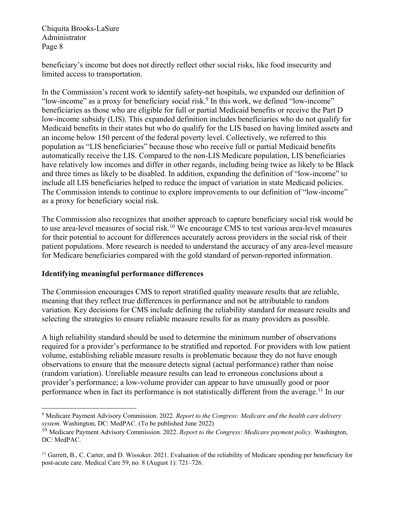beneficiary's income but does not directly reflect other social risks, like food insecurity and limited access to transportation.

In the Commission's recent work to identify safety-net hospitals, we expanded our definition of "low-income" as a proxy for beneficiary social risk.<sup>9</sup> In this work, we defined "low-income" beneficiaries as those who are eligible for full or partial Medicaid benefits or receive the Part D low-income subsidy (LIS). This expanded definition includes beneficiaries who do not qualify for Medicaid benefits in their states but who do qualify for the LIS based on having limited assets and an income below 150 percent of the federal poverty level. Collectively, we referred to this population as "LIS beneficiaries" because those who receive full or partial Medicaid benefits automatically receive the LIS. Compared to the non-LIS Medicare population, LIS beneficiaries have relatively low incomes and differ in other regards, including being twice as likely to be Black and three times as likely to be disabled. In addition, expanding the definition of "low-income" to include all LIS beneficiaries helped to reduce the impact of variation in state Medicaid policies. The Commission intends to continue to explore improvements to our definition of "low-income" as a proxy for beneficiary social risk.

The Commission also recognizes that another approach to capture beneficiary social risk would be to use area-level measures of social risk.10 We encourage CMS to test various area-level measures for their potential to account for differences accurately across providers in the social risk of their patient populations. More research is needed to understand the accuracy of any area-level measure for Medicare beneficiaries compared with the gold standard of person-reported information.

# **Identifying meaningful performance differences**

The Commission encourages CMS to report stratified quality measure results that are reliable, meaning that they reflect true differences in performance and not be attributable to random variation. Key decisions for CMS include defining the reliability standard for measure results and selecting the strategies to ensure reliable measure results for as many providers as possible.

A high reliability standard should be used to determine the minimum number of observations required for a provider's performance to be stratified and reported. For providers with low patient volume, establishing reliable measure results is problematic because they do not have enough observations to ensure that the measure detects signal (actual performance) rather than noise (random variation). Unreliable measure results can lead to erroneous conclusions about a provider's performance; a low-volume provider can appear to have unusually good or poor performance when in fact its performance is not statistically different from the average.<sup>11</sup> In our

<sup>9</sup> Medicare Payment Advisory Commission. 2022*. Report to the Congress: Medicare and the health care delivery system*. Washington, DC: MedPAC. (To be published June 2022)

<sup>10</sup> Medicare Payment Advisory Commission. 2022. *Report to the Congress: Medicare payment policy*. Washington, DC: MedPAC.

 $<sup>11</sup>$  Garrett, B., C. Carter, and D. Wissoker. 2021. Evaluation of the reliability of Medicare spending per beneficiary for</sup> post-acute care. Medical Care 59, no. 8 (August 1): 721–726.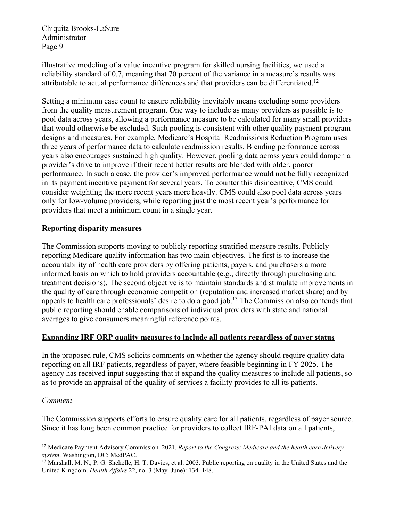illustrative modeling of a value incentive program for skilled nursing facilities, we used a reliability standard of 0.7, meaning that 70 percent of the variance in a measure's results was attributable to actual performance differences and that providers can be differentiated.<sup>12</sup>

Setting a minimum case count to ensure reliability inevitably means excluding some providers from the quality measurement program. One way to include as many providers as possible is to pool data across years, allowing a performance measure to be calculated for many small providers that would otherwise be excluded. Such pooling is consistent with other quality payment program designs and measures. For example, Medicare's Hospital Readmissions Reduction Program uses three years of performance data to calculate readmission results. Blending performance across years also encourages sustained high quality. However, pooling data across years could dampen a provider's drive to improve if their recent better results are blended with older, poorer performance. In such a case, the provider's improved performance would not be fully recognized in its payment incentive payment for several years. To counter this disincentive, CMS could consider weighting the more recent years more heavily. CMS could also pool data across years only for low-volume providers, while reporting just the most recent year's performance for providers that meet a minimum count in a single year.

# **Reporting disparity measures**

The Commission supports moving to publicly reporting stratified measure results. Publicly reporting Medicare quality information has two main objectives. The first is to increase the accountability of health care providers by offering patients, payers, and purchasers a more informed basis on which to hold providers accountable (e.g., directly through purchasing and treatment decisions). The second objective is to maintain standards and stimulate improvements in the quality of care through economic competition (reputation and increased market share) and by appeals to health care professionals' desire to do a good job.<sup>13</sup> The Commission also contends that public reporting should enable comparisons of individual providers with state and national averages to give consumers meaningful reference points.

# **Expanding IRF QRP quality measures to include all patients regardless of payer status**

In the proposed rule, CMS solicits comments on whether the agency should require quality data reporting on all IRF patients, regardless of payer, where feasible beginning in FY 2025. The agency has received input suggesting that it expand the quality measures to include all patients, so as to provide an appraisal of the quality of services a facility provides to all its patients.

# *Comment*

The Commission supports efforts to ensure quality care for all patients, regardless of payer source. Since it has long been common practice for providers to collect IRF-PAI data on all patients,

<sup>12</sup> Medicare Payment Advisory Commission. 2021. *Report to the Congress: Medicare and the health care delivery system*. Washington, DC: MedPAC.

<sup>&</sup>lt;sup>13</sup> Marshall, M. N., P. G. Shekelle, H. T. Davies, et al. 2003. Public reporting on quality in the United States and the United Kingdom. *Health Affairs* 22, no. 3 (May–June): 134–148.